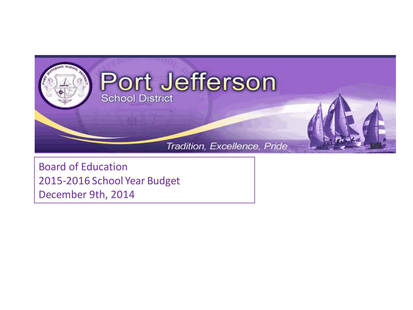

Board of Education 2015-2016 School Year Budget December 9th, 2014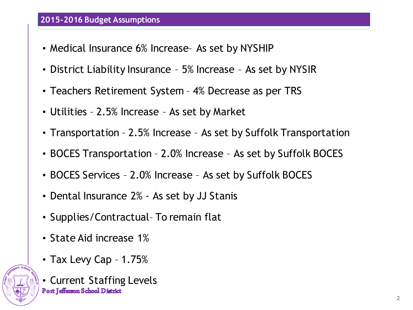## **2015-2016 Budget Assumptions**

- Medical Insurance 6% Increase- As set by NYSHIP
- District Liability Insurance 5% Increase As set by NYSIR
- Teachers Retirement System 4% Decrease as per TRS
- Utilities 2.5% Increase As set by Market
- Transportation 2.5% Increase As set by Suffolk Transportation
- BOCES Transportation 2.0% Increase As set by Suffolk BOCES
- BOCES Services 2.0% Increase As set by Suffolk BOCES
- Dental Insurance 2% As set by JJ Stanis
- Supplies/Contractual– To remain flat
- State Aid increase 1%
- Tax Levy Cap 1.75%



• Current Staffing Levels**Port Jefferson School District**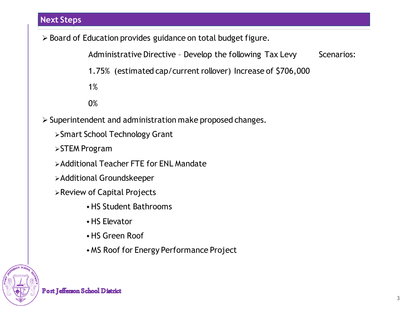## **Next Steps**

> Board of Education provides guidance on total budget figure.

Administrative Directive - Develop the following Tax Levy Scenarios:

1.75% (estimated cap/current rollover) Increase of \$706,000

1%

0%

- $\triangleright$  Superintendent and administration make proposed changes.
	- Smart School Technology Grant
	- **>STEM Program**
	- Additional Teacher FTE for ENL Mandate
	- Additional Groundskeeper
	- Review of Capital Projects
		- HS Student Bathrooms
		- HS Elevator
		- HS Green Roof
		- MS Roof for Energy Performance Project

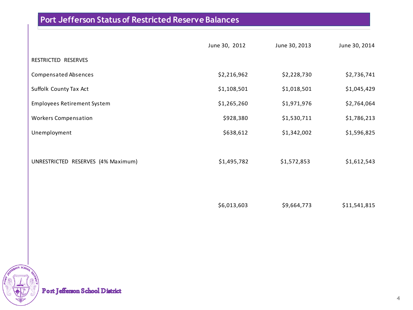## **Port Jefferson Status of Restricted Reserve Balances**

|                                    | June 30, 2012 | June 30, 2013 | June 30, 2014 |
|------------------------------------|---------------|---------------|---------------|
| RESTRICTED RESERVES                |               |               |               |
| <b>Compensated Absences</b>        | \$2,216,962   | \$2,228,730   | \$2,736,741   |
| Suffolk County Tax Act             | \$1,108,501   | \$1,018,501   | \$1,045,429   |
| <b>Employees Retirement System</b> | \$1,265,260   | \$1,971,976   | \$2,764,064   |
| <b>Workers Compensation</b>        | \$928,380     | \$1,530,711   | \$1,786,213   |
| Unemployment                       | \$638,612     | \$1,342,002   | \$1,596,825   |
|                                    |               |               |               |
| UNRESTRICTED RESERVES (4% Maximum) | \$1,495,782   | \$1,572,853   | \$1,612,543   |
|                                    |               |               |               |
|                                    |               |               |               |
|                                    | \$6,013,603   | \$9,664,773   | \$11,541,815  |



Port Jefferson School District